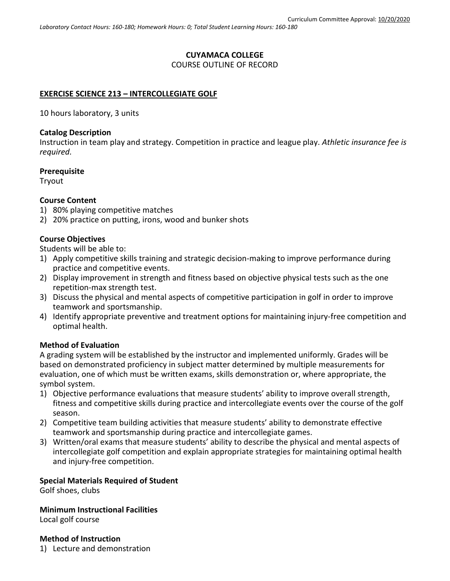# **CUYAMACA COLLEGE** COURSE OUTLINE OF RECORD

### **EXERCISE SCIENCE 213 – INTERCOLLEGIATE GOLF**

10 hours laboratory, 3 units

#### **Catalog Description**

Instruction in team play and strategy. Competition in practice and league play. *Athletic insurance fee is required.*

#### **Prerequisite**

Tryout

#### **Course Content**

- 1) 80% playing competitive matches
- 2) 20% practice on putting, irons, wood and bunker shots

### **Course Objectives**

Students will be able to:

- 1) Apply competitive skills training and strategic decision-making to improve performance during practice and competitive events.
- 2) Display improvement in strength and fitness based on objective physical tests such as the one repetition-max strength test.
- 3) Discuss the physical and mental aspects of competitive participation in golf in order to improve teamwork and sportsmanship.
- 4) Identify appropriate preventive and treatment options for maintaining injury-free competition and optimal health.

### **Method of Evaluation**

A grading system will be established by the instructor and implemented uniformly. Grades will be based on demonstrated proficiency in subject matter determined by multiple measurements for evaluation, one of which must be written exams, skills demonstration or, where appropriate, the symbol system.

- 1) Objective performance evaluations that measure students' ability to improve overall strength, fitness and competitive skills during practice and intercollegiate events over the course of the golf season.
- 2) Competitive team building activities that measure students' ability to demonstrate effective teamwork and sportsmanship during practice and intercollegiate games.
- 3) Written/oral exams that measure students' ability to describe the physical and mental aspects of intercollegiate golf competition and explain appropriate strategies for maintaining optimal health and injury-free competition.

### **Special Materials Required of Student**

Golf shoes, clubs

**Minimum Instructional Facilities**

Local golf course

**Method of Instruction** 1) Lecture and demonstration